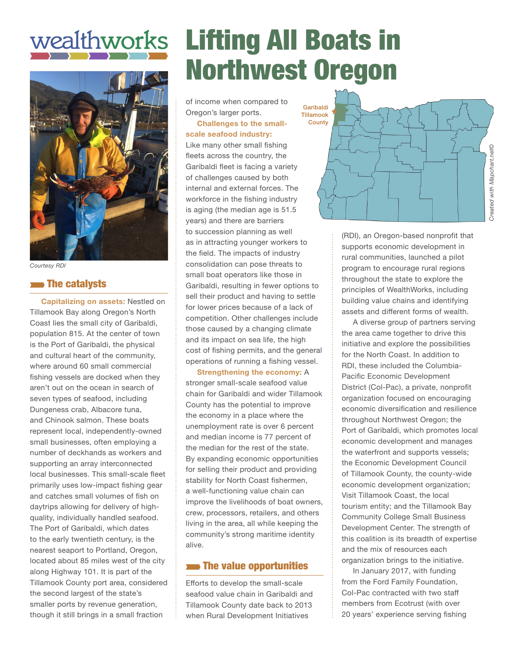# wealthworks



*Courtesy RDI*

#### **The catalysts**

**Capitalizing on assets:** Nestled on Tillamook Bay along Oregon's North Coast lies the small city of Garibaldi, population 815. At the center of town is the Port of Garibaldi, the physical and cultural heart of the community, where around 60 small commercial fishing vessels are docked when they aren't out on the ocean in search of seven types of seafood, including Dungeness crab, Albacore tuna, and Chinook salmon. These boats represent local, independently-owned small businesses, often employing a number of deckhands as workers and supporting an array interconnected local businesses. This small-scale fleet primarily uses low-impact fishing gear and catches small volumes of fish on daytrips allowing for delivery of highquality, individually handled seafood. The Port of Garibaldi, which dates to the early twentieth century, is the nearest seaport to Portland, Oregon, located about 85 miles west of the city along Highway 101. It is part of the Tillamook County port area, considered the second largest of the state's smaller ports by revenue generation, though it still brings in a small fraction

## Lifting All Boats in Northwest Oregon

of income when compared to Oregon's larger ports.

**Challenges to the smallscale seafood industry:** Like many other small fishing fleets across the country, the Garibaldi fleet is facing a variety of challenges caused by both internal and external forces. The workforce in the fishing industry is aging (the median age is 51.5 years) and there are barriers to succession planning as well as in attracting younger workers to the field. The impacts of industry consolidation can pose threats to small boat operators like those in Garibaldi, resulting in fewer options to sell their product and having to settle for lower prices because of a lack of competition. Other challenges include those caused by a changing climate and its impact on sea life, the high cost of fishing permits, and the general operations of running a fishing vessel.

**Strengthening the economy:** A stronger small-scale seafood value chain for Garibaldi and wider Tillamook County has the potential to improve the economy in a place where the unemployment rate is over 6 percent and median income is 77 percent of the median for the rest of the state. By expanding economic opportunities for selling their product and providing stability for North Coast fishermen, a well-functioning value chain can improve the livelihoods of boat owners, crew, processors, retailers, and others living in the area, all while keeping the community's strong maritime identity alive.

#### **The value opportunities**

Efforts to develop the small-scale seafood value chain in Garibaldi and Tillamook County date back to 2013 when Rural Development Initiatives



(RDI), an Oregon-based nonprofit that supports economic development in rural communities, launched a pilot program to encourage rural regions throughout the state to explore the principles of WealthWorks, including building value chains and identifying assets and different forms of wealth.

A diverse group of partners serving the area came together to drive this initiative and explore the possibilities for the North Coast. In addition to RDI, these included the Columbia-Pacific Economic Development District (Col-Pac), a private, nonprofit organization focused on encouraging economic diversification and resilience throughout Northwest Oregon; the Port of Garibaldi, which promotes local economic development and manages the waterfront and supports vessels; the Economic Development Council of Tillamook County, the county-wide economic development organization; Visit Tillamook Coast, the local tourism entity; and the Tillamook Bay Community College Small Business Development Center. The strength of this coalition is its breadth of expertise and the mix of resources each organization brings to the initiative.

In January 2017, with funding from the Ford Family Foundation, Col-Pac contracted with two staff members from Ecotrust (with over 20 years' experience serving fishing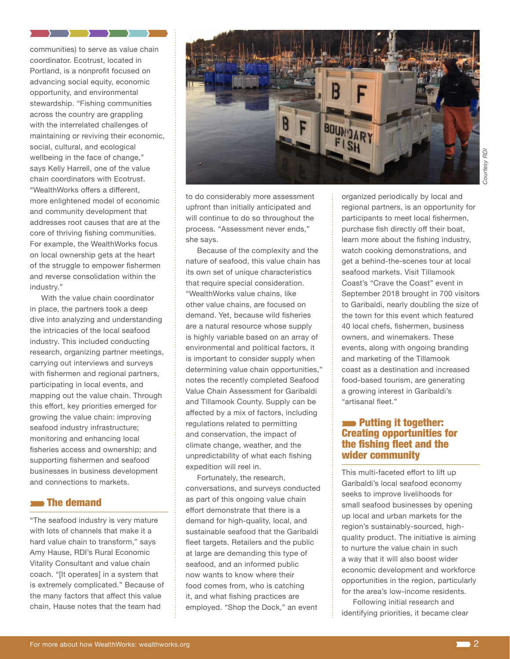communities) to serve as value chain coordinator. Ecotrust, located in Portland, is a nonprofit focused on advancing social equity, economic opportunity, and environmental stewardship. "Fishing communities across the country are grappling with the interrelated challenges of maintaining or reviving their economic, social, cultural, and ecological wellbeing in the face of change," says Kelly Harrell, one of the value chain coordinators with Ecotrust. "WealthWorks offers a different, more enlightened model of economic and community development that addresses root causes that are at the core of thriving fishing communities. For example, the WealthWorks focus on local ownership gets at the heart of the struggle to empower fishermen and reverse consolidation within the industry."

 $\rightarrow$   $\rightarrow$   $\rightarrow$ 

 $\rightarrow$   $\rightarrow$ 

With the value chain coordinator in place, the partners took a deep dive into analyzing and understanding the intricacies of the local seafood industry. This included conducting research, organizing partner meetings, carrying out interviews and surveys with fishermen and regional partners, participating in local events, and mapping out the value chain. Through this effort, key priorities emerged for growing the value chain: improving seafood industry infrastructure; monitoring and enhancing local fisheries access and ownership; and supporting fishermen and seafood businesses in business development and connections to markets.

#### **The demand**

"The seafood industry is very mature with lots of channels that make it a hard value chain to transform," says Amy Hause, RDI's Rural Economic Vitality Consultant and value chain coach. "[It operates] in a system that is extremely complicated." Because of the many factors that affect this value chain, Hause notes that the team had



to do considerably more assessment upfront than initially anticipated and will continue to do so throughout the process. "Assessment never ends," she says.

Because of the complexity and the nature of seafood, this value chain has its own set of unique characteristics that require special consideration. "WealthWorks value chains, like other value chains, are focused on demand. Yet, because wild fisheries are a natural resource whose supply is highly variable based on an array of environmental and political factors, it is important to consider supply when determining value chain opportunities," notes the recently completed Seafood Value Chain Assessment for Garibaldi and Tillamook County. Supply can be affected by a mix of factors, including regulations related to permitting and conservation, the impact of climate change, weather, and the unpredictability of what each fishing expedition will reel in.

Fortunately, the research, conversations, and surveys conducted as part of this ongoing value chain effort demonstrate that there is a demand for high-quality, local, and sustainable seafood that the Garibaldi fleet targets. Retailers and the public at large are demanding this type of seafood, and an informed public now wants to know where their food comes from, who is catching it, and what fishing practices are employed. "Shop the Dock," an event

organized periodically by local and regional partners, is an opportunity for participants to meet local fishermen, purchase fish directly off their boat, learn more about the fishing industry, watch cooking demonstrations, and get a behind-the-scenes tour at local seafood markets. Visit Tillamook Coast's "Crave the Coast" event in September 2018 brought in 700 visitors to Garibaldi, nearly doubling the size of the town for this event which featured 40 local chefs, fishermen, business owners, and winemakers. These events, along with ongoing branding and marketing of the Tillamook coast as a destination and increased food-based tourism, are generating a growing interest in Garibaldi's "artisanal fleet."

#### **EXECUTE:** Putting it together: Creating opportunities for the fishing fleet and the wider community

This multi-faceted effort to lift up Garibaldi's local seafood economy seeks to improve livelihoods for small seafood businesses by opening up local and urban markets for the region's sustainably-sourced, highquality product. The initiative is aiming to nurture the value chain in such a way that it will also boost wider economic development and workforce opportunities in the region, particularly for the area's low-income residents.

Following initial research and identifying priorities, it became clear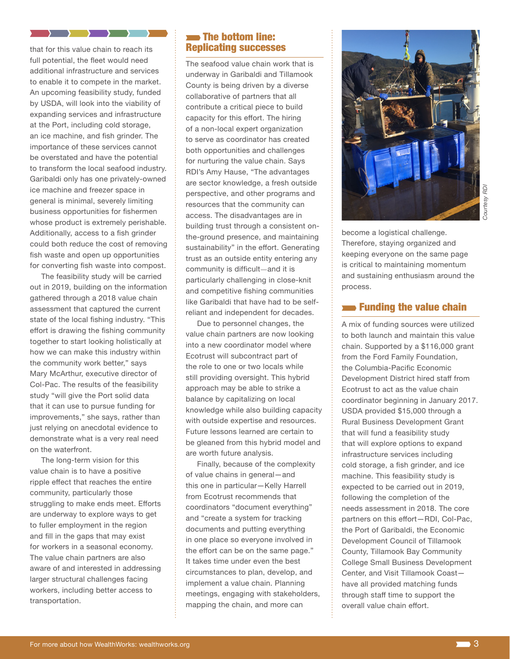that for this value chain to reach its full potential, the fleet would need additional infrastructure and services to enable it to compete in the market. An upcoming feasibility study, funded by USDA, will look into the viability of expanding services and infrastructure at the Port, including cold storage, an ice machine, and fish grinder. The importance of these services cannot be overstated and have the potential to transform the local seafood industry. Garibaldi only has one privately-owned ice machine and freezer space in general is minimal, severely limiting business opportunities for fishermen whose product is extremely perishable. Additionally, access to a fish grinder could both reduce the cost of removing fish waste and open up opportunities for converting fish waste into compost.

 $\rightarrow$   $\rightarrow$   $\rightarrow$ 

 $\rightarrow$   $\rightarrow$ 

The feasibility study will be carried out in 2019, building on the information gathered through a 2018 value chain assessment that captured the current state of the local fishing industry. "This effort is drawing the fishing community together to start looking holistically at how we can make this industry within the community work better," says Mary McArthur, executive director of Col-Pac. The results of the feasibility study "will give the Port solid data that it can use to pursue funding for improvements," she says, rather than just relying on anecdotal evidence to demonstrate what is a very real need on the waterfront.

The long-term vision for this value chain is to have a positive ripple effect that reaches the entire community, particularly those struggling to make ends meet. Efforts are underway to explore ways to get to fuller employment in the region and fill in the gaps that may exist for workers in a seasonal economy. The value chain partners are also aware of and interested in addressing larger structural challenges facing workers, including better access to transportation.

#### **The bottom line:** Replicating successes

The seafood value chain work that is underway in Garibaldi and Tillamook County is being driven by a diverse collaborative of partners that all contribute a critical piece to build capacity for this effort. The hiring of a non-local expert organization to serve as coordinator has created both opportunities and challenges for nurturing the value chain. Says RDI's Amy Hause, "The advantages are sector knowledge, a fresh outside perspective, and other programs and resources that the community can access. The disadvantages are in building trust through a consistent onthe-ground presence, and maintaining sustainability" in the effort. Generating trust as an outside entity entering any community is difficult—and it is particularly challenging in close-knit and competitive fishing communities like Garibaldi that have had to be selfreliant and independent for decades.

Due to personnel changes, the value chain partners are now looking into a new coordinator model where Ecotrust will subcontract part of the role to one or two locals while still providing oversight. This hybrid approach may be able to strike a balance by capitalizing on local knowledge while also building capacity with outside expertise and resources. Future lessons learned are certain to be gleaned from this hybrid model and are worth future analysis.

Finally, because of the complexity of value chains in general—and this one in particular—Kelly Harrell from Ecotrust recommends that coordinators "document everything" and "create a system for tracking documents and putting everything in one place so everyone involved in the effort can be on the same page." It takes time under even the best circumstances to plan, develop, and implement a value chain. Planning meetings, engaging with stakeholders, mapping the chain, and more can



become a logistical challenge. Therefore, staying organized and keeping everyone on the same page is critical to maintaining momentum and sustaining enthusiasm around the process.

#### **EXECUTE:** Funding the value chain

A mix of funding sources were utilized to both launch and maintain this value chain. Supported by a \$116,000 grant from the Ford Family Foundation, the Columbia-Pacific Economic Development District hired staff from Ecotrust to act as the value chain coordinator beginning in January 2017. USDA provided \$15,000 through a Rural Business Development Grant that will fund a feasibility study that will explore options to expand infrastructure services including cold storage, a fish grinder, and ice machine. This feasibility study is expected to be carried out in 2019, following the completion of the needs assessment in 2018. The core partners on this effort—RDI, Col-Pac, the Port of Garibaldi, the Economic Development Council of Tillamook County, Tillamook Bay Community College Small Business Development Center, and Visit Tillamook Coast have all provided matching funds through staff time to support the overall value chain effort.